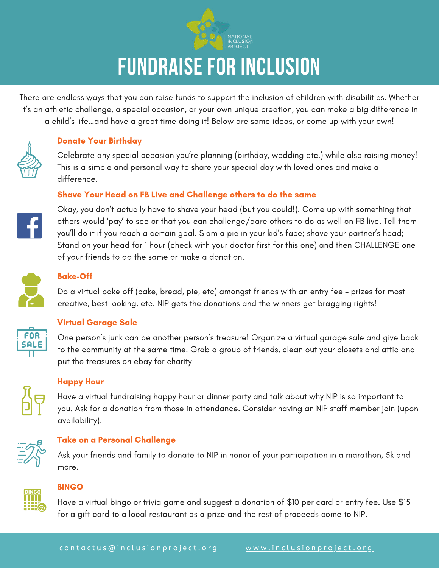

# **FUNDRAISE FOR INCLUSION**

There are endless ways that you can raise funds to support the inclusion of children with disabilities. Whether it's an athletic challenge, a special occasion, or your own unique creation, you can make a big difference in a child's life…and have a great time doing it! Below are some ideas, or come up with your own!

### Donate Your Birthday

Celebrate any special occasion you're planning (birthday, wedding etc.) while also raising money! This is a simple and personal way to share your special day with loved ones and make a difference.

### Shave Your Head on FB Live and Challenge others to do the same



Okay, you don't actually have to shave your head (but you could!). Come up with something that others would 'pay' to see or that you can challenge/dare others to do as well on FB live. Tell them you'll do it if you reach a certain goal. Slam a pie in your kid's face; shave your partner's head; Stand on your head for 1 hour (check with your doctor first for this one) and then CHALLENGE one of your friends to do the same or make a donation.



## Bake-Off

Do a virtual bake off (cake, bread, pie, etc) amongst friends with an entry fee – prizes for most creative, best looking, etc. NIP gets the donations and the winners get bragging rights!



### Virtual Garage Sale

One person's junk can be another person's treasure! Organize a virtual garage sale and give back to the community at the same time. Grab a group of friends, clean out your closets and attic and put the treasures on [ebay for charity](https://charity.ebay.com/help/seller)



### Happy Hour

Have a virtual fundraising happy hour or dinner party and talk about why NIP is so important to you. Ask for a donation from those in attendance. Consider having an NIP staff member join (upon availability).



### Take on a Personal Challenge

Ask your friends and family to donate to NIP in honor of your participation in a marathon, 5k and more.



### BINGO

Have a virtual bingo or trivia game and suggest a donation of \$10 per card or entry fee. Use \$15 for a gift card to a local restaurant as a prize and the rest of proceeds come to NIP.

9 1 9 - 3 1 4 - 5 5 4 0